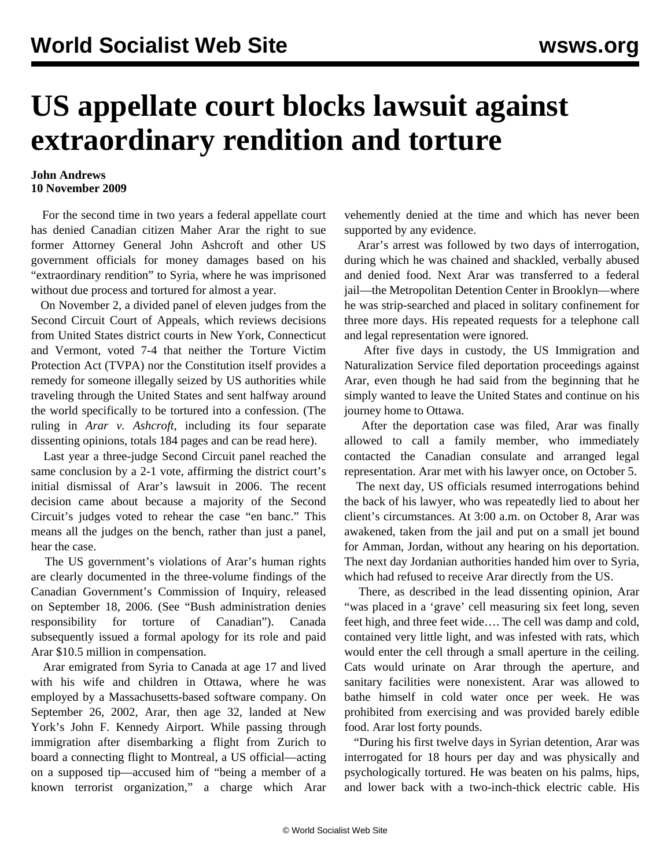## **US appellate court blocks lawsuit against extraordinary rendition and torture**

## **John Andrews 10 November 2009**

 For the second time in two years a federal appellate court has denied Canadian citizen Maher Arar the right to sue former Attorney General John Ashcroft and other US government officials for money damages based on his "extraordinary rendition" to Syria, where he was imprisoned without due process and tortured for almost a year.

 On November 2, a divided panel of eleven judges from the Second Circuit Court of Appeals, which reviews decisions from United States district courts in New York, Connecticut and Vermont, voted 7-4 that neither the Torture Victim Protection Act (TVPA) nor the Constitution itself provides a remedy for someone illegally seized by US authorities while traveling through the United States and sent halfway around the world specifically to be tortured into a confession. (The ruling in *Arar v. Ashcroft*, including its four separate dissenting opinions, totals 184 pages and can be read [here](http://www.ca2.uscourts.gov/decisions/isysquery/44edddb4-f15f-4db5-93be-fe9a4d8b4d1e/1/doc/06-4216-cv_opn2.pdf#xml=http://www.ca2.uscourts.gov/decisions/isysquery/44edddb4-f15f-4db5-93be-fe9a4d8b4d1e/1/hilite/)).

 Last year a three-judge Second Circuit panel reached the same conclusion by a 2-1 vote, affirming the district court's initial dismissal of Arar's lawsuit in 2006. The recent decision came about because a majority of the Second Circuit's judges voted to rehear the case "en banc." This means all the judges on the bench, rather than just a panel, hear the case.

 The US government's violations of Arar's human rights are clearly documented in the three-volume findings of the Canadian Government's Commission of Inquiry, released on September 18, 2006. (See "[Bush administration denies](/en/articles/2006/sep2006/tort-s22.shtml) [responsibility for torture of Canadian"](/en/articles/2006/sep2006/tort-s22.shtml)). Canada subsequently issued a formal apology for its role and paid Arar \$10.5 million in compensation.

 Arar emigrated from Syria to Canada at age 17 and lived with his wife and children in Ottawa, where he was employed by a Massachusetts-based software company. On September 26, 2002, Arar, then age 32, landed at New York's John F. Kennedy Airport. While passing through immigration after disembarking a flight from Zurich to board a connecting flight to Montreal, a US official—acting on a supposed tip—accused him of "being a member of a known terrorist organization," a charge which Arar

vehemently denied at the time and which has never been supported by any evidence.

 Arar's arrest was followed by two days of interrogation, during which he was chained and shackled, verbally abused and denied food. Next Arar was transferred to a federal jail—the Metropolitan Detention Center in Brooklyn—where he was strip-searched and placed in solitary confinement for three more days. His repeated requests for a telephone call and legal representation were ignored.

 After five days in custody, the US Immigration and Naturalization Service filed deportation proceedings against Arar, even though he had said from the beginning that he simply wanted to leave the United States and continue on his journey home to Ottawa.

 After the deportation case was filed, Arar was finally allowed to call a family member, who immediately contacted the Canadian consulate and arranged legal representation. Arar met with his lawyer once, on October 5.

 The next day, US officials resumed interrogations behind the back of his lawyer, who was repeatedly lied to about her client's circumstances. At 3:00 a.m. on October 8, Arar was awakened, taken from the jail and put on a small jet bound for Amman, Jordan, without any hearing on his deportation. The next day Jordanian authorities handed him over to Syria, which had refused to receive Arar directly from the US.

 There, as described in the lead dissenting opinion, Arar "was placed in a 'grave' cell measuring six feet long, seven feet high, and three feet wide…. The cell was damp and cold, contained very little light, and was infested with rats, which would enter the cell through a small aperture in the ceiling. Cats would urinate on Arar through the aperture, and sanitary facilities were nonexistent. Arar was allowed to bathe himself in cold water once per week. He was prohibited from exercising and was provided barely edible food. Arar lost forty pounds.

 "During his first twelve days in Syrian detention, Arar was interrogated for 18 hours per day and was physically and psychologically tortured. He was beaten on his palms, hips, and lower back with a two-inch-thick electric cable. His